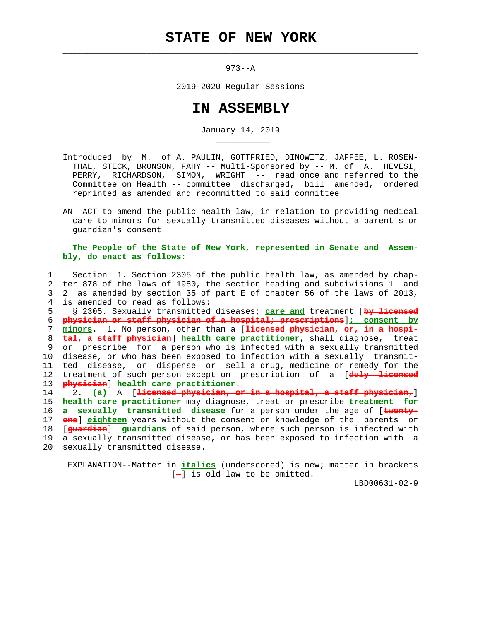973--A

 $\mathcal{L}_\text{max} = \frac{1}{2} \sum_{i=1}^{n} \frac{1}{2} \sum_{i=1}^{n} \frac{1}{2} \sum_{i=1}^{n} \frac{1}{2} \sum_{i=1}^{n} \frac{1}{2} \sum_{i=1}^{n} \frac{1}{2} \sum_{i=1}^{n} \frac{1}{2} \sum_{i=1}^{n} \frac{1}{2} \sum_{i=1}^{n} \frac{1}{2} \sum_{i=1}^{n} \frac{1}{2} \sum_{i=1}^{n} \frac{1}{2} \sum_{i=1}^{n} \frac{1}{2} \sum_{i=1}^{n} \frac{1$ 

2019-2020 Regular Sessions

## **IN ASSEMBLY**

January 14, 2019

- Introduced by M. of A. PAULIN, GOTTFRIED, DINOWITZ, JAFFEE, L. ROSEN- THAL, STECK, BRONSON, FAHY -- Multi-Sponsored by -- M. of A. HEVESI, PERRY, RICHARDSON, SIMON, WRIGHT -- read once and referred to the Committee on Health -- committee discharged, bill amended, ordered reprinted as amended and recommitted to said committee
- AN ACT to amend the public health law, in relation to providing medical care to minors for sexually transmitted diseases without a parent's or guardian's consent

## **The People of the State of New York, represented in Senate and Assem bly, do enact as follows:**

 1 Section 1. Section 2305 of the public health law, as amended by chap- 2 ter 878 of the laws of 1980, the section heading and subdivisions 1 and 3 2 as amended by section 35 of part E of chapter 56 of the laws of 2013, 4 is amended to read as follows: 5 § 2305. Sexually transmitted diseases; **care and** treatment [**by licensed** 6 **physician or staff physician of a hospital; prescriptions**]**; consent by** 7 **minors**. 1. No person, other than a [**licensed physician, or, in a hospi-** 8 **tal, a staff physician**] **health care practitioner**, shall diagnose, treat 9 or prescribe for a person who is infected with a sexually transmitted 10 disease, or who has been exposed to infection with a sexually transmit- 11 ted disease, or dispense or sell a drug, medicine or remedy for the 12 treatment of such person except on prescription of a [**duly licensed** 13 **physician**] **health care practitioner**. 14 2. **(a)** A [**licensed physician, or in a hospital, a staff physician,**] 15 **health care practitioner** may diagnose, treat or prescribe **treatment for** 16 **a sexually transmitted disease** for a person under the age of [**twenty-** 17 **one**] **eighteen** years without the consent or knowledge of the parents or 18 [**guardian**] **guardians** of said person, where such person is infected with 19 a sexually transmitted disease, or has been exposed to infection with a

20 sexually transmitted disease.

\_\_\_\_\_\_\_\_\_\_\_

 EXPLANATION--Matter in **italics** (underscored) is new; matter in brackets  $[-]$  is old law to be omitted.

LBD00631-02-9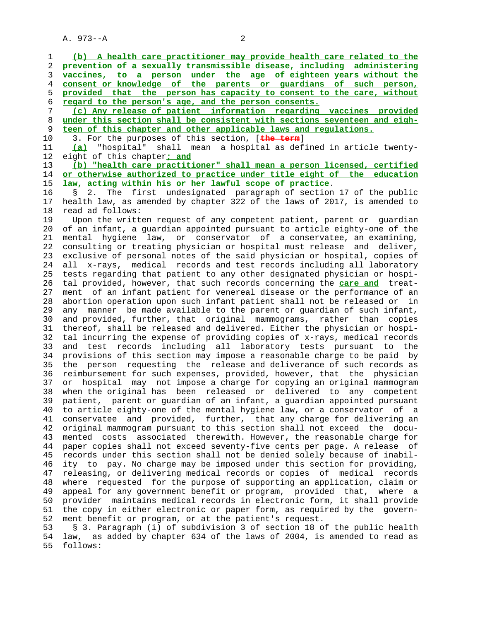A. 973--A 2

 1 **(b) A health care practitioner may provide health care related to the** 2 **prevention of a sexually transmissible disease, including administering** 3 **vaccines, to a person under the age of eighteen years without the** 4 **consent or knowledge of the parents or guardians of such person,** 5 **provided that the person has capacity to consent to the care, without** 6 **regard to the person's age, and the person consents.** 7 **(c) Any release of patient information regarding vaccines provided** 8 **under this section shall be consistent with sections seventeen and eigh-** 9 **teen of this chapter and other applicable laws and regulations.** 10 3. For the purposes of this section, [**the term**] 11 **(a)** "hospital" shall mean a hospital as defined in article twenty- 12 eight of this chapter**; and** 13 **(b) "health care practitioner" shall mean a person licensed, certified** 14 **or otherwise authorized to practice under title eight of the education** 15 **law, acting within his or her lawful scope of practice**. 16 § 2. The first undesignated paragraph of section 17 of the public 17 health law, as amended by chapter 322 of the laws of 2017, is amended to 18 read ad follows: 19 Upon the written request of any competent patient, parent or guardian 20 of an infant, a guardian appointed pursuant to article eighty-one of the 21 mental hygiene law, or conservator of a conservatee, an examining, 22 consulting or treating physician or hospital must release and deliver, 23 exclusive of personal notes of the said physician or hospital, copies of 24 all x-rays, medical records and test records including all laboratory 25 tests regarding that patient to any other designated physician or hospi- 26 tal provided, however, that such records concerning the **care and** treat- 27 ment of an infant patient for venereal disease or the performance of an 28 abortion operation upon such infant patient shall not be released or in 29 any manner be made available to the parent or guardian of such infant, 30 and provided, further, that original mammograms, rather than copies 31 thereof, shall be released and delivered. Either the physician or hospi- 32 tal incurring the expense of providing copies of x-rays, medical records 33 and test records including all laboratory tests pursuant to the 34 provisions of this section may impose a reasonable charge to be paid by 35 the person requesting the release and deliverance of such records as 36 reimbursement for such expenses, provided, however, that the physician 37 or hospital may not impose a charge for copying an original mammogram 38 when the original has been released or delivered to any competent 39 patient, parent or guardian of an infant, a guardian appointed pursuant 40 to article eighty-one of the mental hygiene law, or a conservator of a 41 conservatee and provided, further, that any charge for delivering an 42 original mammogram pursuant to this section shall not exceed the docu- 43 mented costs associated therewith. However, the reasonable charge for 44 paper copies shall not exceed seventy-five cents per page. A release of 45 records under this section shall not be denied solely because of inabil- 46 ity to pay. No charge may be imposed under this section for providing, 47 releasing, or delivering medical records or copies of medical records 48 where requested for the purpose of supporting an application, claim or 49 appeal for any government benefit or program, provided that, where a 50 provider maintains medical records in electronic form, it shall provide 51 the copy in either electronic or paper form, as required by the govern- 52 ment benefit or program, or at the patient's request. 53 § 3. Paragraph (i) of subdivision 3 of section 18 of the public health 54 law, as added by chapter 634 of the laws of 2004, is amended to read as 55 follows: